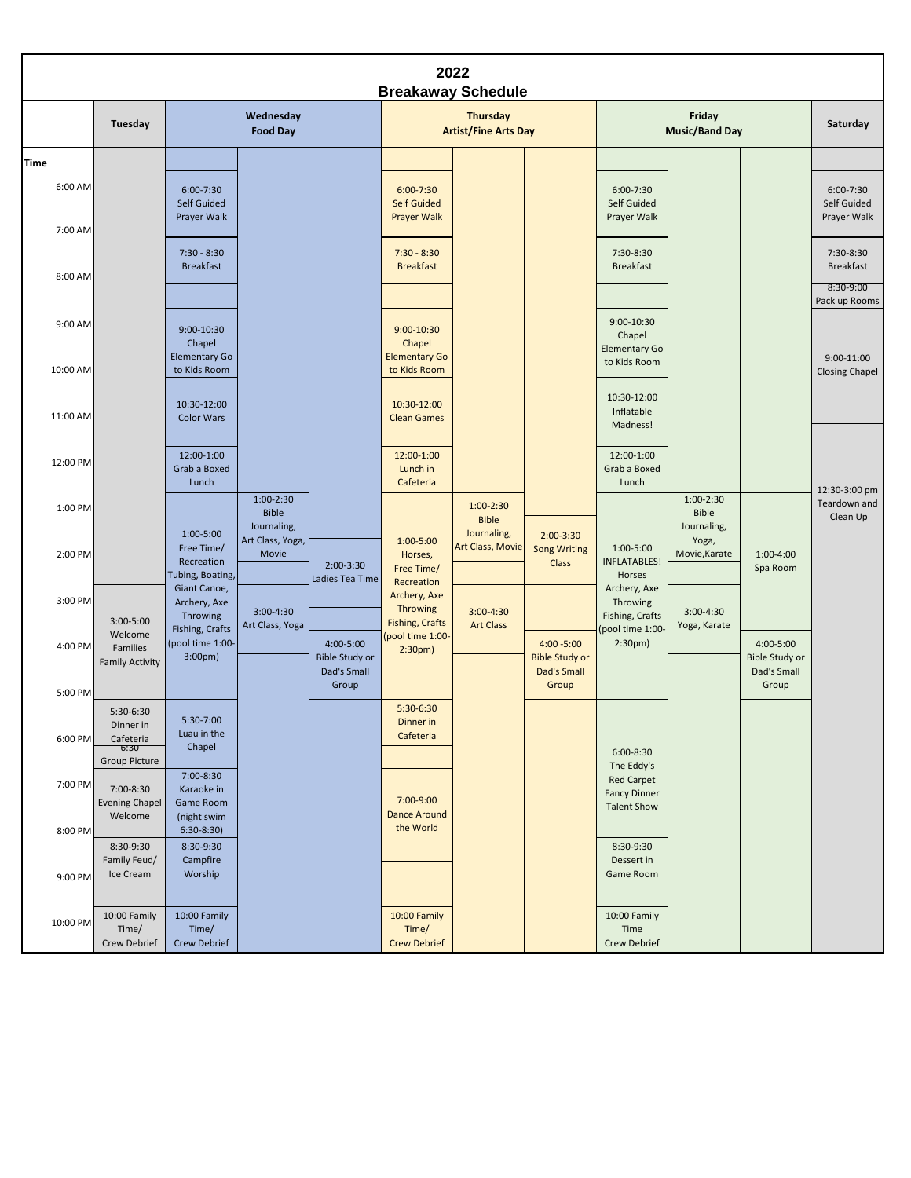| 2022<br><b>Breakaway Schedule</b> |                                               |                                                             |                                          |                                                            |                                                           |                                 |                                                                |                                                                              |                                       |                                                            |                                             |
|-----------------------------------|-----------------------------------------------|-------------------------------------------------------------|------------------------------------------|------------------------------------------------------------|-----------------------------------------------------------|---------------------------------|----------------------------------------------------------------|------------------------------------------------------------------------------|---------------------------------------|------------------------------------------------------------|---------------------------------------------|
|                                   | Tuesday                                       | Wednesday<br><b>Food Day</b>                                |                                          |                                                            | Thursday<br><b>Artist/Fine Arts Day</b>                   |                                 | Friday<br><b>Music/Band Day</b>                                |                                                                              |                                       | Saturday                                                   |                                             |
| <b>Time</b>                       |                                               |                                                             |                                          |                                                            |                                                           |                                 |                                                                |                                                                              |                                       |                                                            |                                             |
| 6:00 AM                           |                                               | $6:00 - 7:30$<br>Self Guided<br>Prayer Walk                 |                                          |                                                            | $6:00 - 7:30$<br><b>Self Guided</b><br><b>Prayer Walk</b> |                                 |                                                                | $6:00 - 7:30$<br>Self Guided<br>Prayer Walk                                  |                                       |                                                            | $6:00 - 7:30$<br>Self Guided<br>Prayer Walk |
| 7:00 AM                           |                                               |                                                             |                                          |                                                            |                                                           |                                 |                                                                |                                                                              |                                       |                                                            |                                             |
| 8:00 AM                           |                                               | $7:30 - 8:30$<br><b>Breakfast</b>                           |                                          |                                                            | $7:30 - 8:30$<br><b>Breakfast</b>                         |                                 |                                                                | 7:30-8:30<br><b>Breakfast</b>                                                |                                       |                                                            | 7:30-8:30<br><b>Breakfast</b><br>8:30-9:00  |
| 9:00 AM                           |                                               | $9:00 - 10:30$<br>Chapel                                    |                                          |                                                            | $9:00 - 10:30$<br>Chapel                                  |                                 |                                                                | $9:00 - 10:30$<br>Chapel                                                     |                                       |                                                            | Pack up Rooms                               |
| 10:00 AM                          |                                               | <b>Elementary Go</b><br>to Kids Room                        |                                          |                                                            | <b>Elementary Go</b><br>to Kids Room                      |                                 |                                                                | <b>Elementary Go</b><br>to Kids Room                                         |                                       |                                                            | $9:00-11:00$<br><b>Closing Chapel</b>       |
| 11:00 AM                          |                                               | 10:30-12:00<br><b>Color Wars</b>                            |                                          |                                                            | 10:30-12:00<br><b>Clean Games</b>                         |                                 |                                                                | 10:30-12:00<br>Inflatable<br>Madness!                                        |                                       |                                                            |                                             |
| 12:00 PM                          |                                               | 12:00-1:00<br>Grab a Boxed<br>Lunch                         |                                          |                                                            | 12:00-1:00<br>Lunch in<br>Cafeteria                       |                                 |                                                                | 12:00-1:00<br>Grab a Boxed<br>Lunch                                          |                                       |                                                            | 12:30-3:00 pm                               |
| 1:00 PM                           |                                               |                                                             | $1:00-2:30$<br><b>Bible</b>              |                                                            |                                                           | $1:00-2:30$<br><b>Bible</b>     |                                                                |                                                                              | $1:00-2:30$<br><b>Bible</b>           |                                                            | Teardown and<br>Clean Up                    |
| 2:00 PM                           |                                               | $1:00-5:00$<br>Free Time/<br>Recreation<br>Tubing, Boating, | Journaling,<br>Art Class, Yoga,<br>Movie | $2:00-3:30$<br>Ladies Tea Time                             | $1:00 - 5:00$<br>Horses,<br>Free Time/<br>Recreation      | Journaling,<br>Art Class, Movie | $2:00-3:30$<br><b>Song Writing</b><br>Class                    | 1:00-5:00<br><b>INFLATABLES!</b><br>Horses                                   | Journaling,<br>Yoga,<br>Movie, Karate | $1:00-4:00$<br>Spa Room                                    |                                             |
| 3:00 PM                           |                                               | Giant Canoe,<br>Archery, Axe                                | $3:00-4:30$                              |                                                            | Archery, Axe<br>Throwing                                  | $3:00 - 4:30$                   |                                                                | Archery, Axe<br>Throwing                                                     | $3:00-4:30$                           |                                                            |                                             |
|                                   | $3:00 - 5:00$<br>Welcome                      | Throwing<br>Fishing, Crafts                                 | Art Class, Yoga                          |                                                            | <b>Fishing, Crafts</b><br>(pool time 1:00-                | <b>Art Class</b>                |                                                                | Fishing, Crafts<br>(pool time 1:00-                                          | Yoga, Karate                          |                                                            |                                             |
| 4:00 PM                           | Families<br><b>Family Activity</b>            | (pool time 1:00-<br>3:00 <sub>pm</sub>                      |                                          | 4:00-5:00<br><b>Bible Study or</b><br>Dad's Small<br>Group | 2:30pm)                                                   |                                 | $4:00 - 5:00$<br><b>Bible Study or</b><br>Dad's Small<br>Group | 2:30 <sub>pm</sub>                                                           |                                       | 4:00-5:00<br><b>Bible Study or</b><br>Dad's Small<br>Group |                                             |
| 5:00 PM                           | 5:30-6:30                                     |                                                             |                                          |                                                            | $5:30-6:30$                                               |                                 |                                                                |                                                                              |                                       |                                                            |                                             |
|                                   | Dinner in                                     | 5:30-7:00<br>Luau in the                                    |                                          |                                                            | Dinner in<br>Cafeteria                                    |                                 |                                                                |                                                                              |                                       |                                                            |                                             |
| $6:00$ PM                         | Cafeteria<br>6:30<br><b>Group Picture</b>     | Chapel                                                      |                                          |                                                            |                                                           |                                 |                                                                | $6:00-8:30$                                                                  |                                       |                                                            |                                             |
| 7:00 PM                           | 7:00-8:30<br><b>Evening Chapel</b><br>Welcome | 7:00-8:30<br>Karaoke in<br>Game Room<br>(night swim         |                                          |                                                            | 7:00-9:00<br><b>Dance Around</b>                          |                                 |                                                                | The Eddy's<br><b>Red Carpet</b><br><b>Fancy Dinner</b><br><b>Talent Show</b> |                                       |                                                            |                                             |
| 8:00 PM                           |                                               | $6:30-8:30$                                                 |                                          |                                                            | the World                                                 |                                 |                                                                |                                                                              |                                       |                                                            |                                             |
| 9:00 PM                           | 8:30-9:30<br>Family Feud/<br>Ice Cream        | 8:30-9:30<br>Campfire<br>Worship                            |                                          |                                                            |                                                           |                                 |                                                                | 8:30-9:30<br>Dessert in<br>Game Room                                         |                                       |                                                            |                                             |
|                                   |                                               |                                                             |                                          |                                                            |                                                           |                                 |                                                                |                                                                              |                                       |                                                            |                                             |
| 10:00 PM                          | 10:00 Family<br>Time/<br>Crew Debrief         | 10:00 Family<br>Time/<br>Crew Debrief                       |                                          |                                                            | 10:00 Family<br>Time/<br><b>Crew Debrief</b>              |                                 |                                                                | 10:00 Family<br>Time<br>Crew Debrief                                         |                                       |                                                            |                                             |